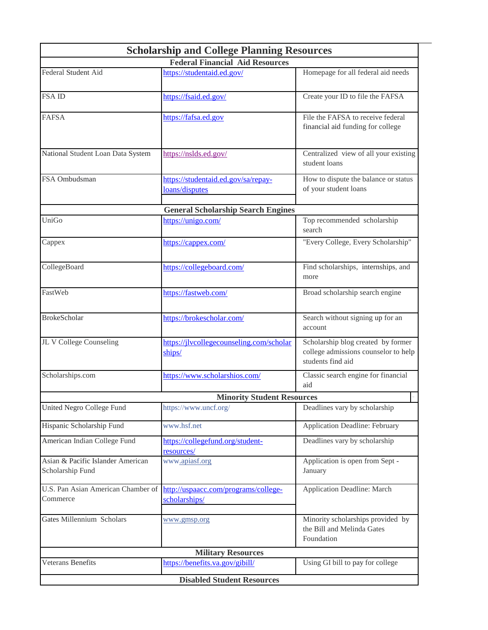| <b>Scholarship and College Planning Resources</b>     |                                                       |                                                                                                 |  |  |
|-------------------------------------------------------|-------------------------------------------------------|-------------------------------------------------------------------------------------------------|--|--|
| <b>Federal Financial Aid Resources</b>                |                                                       |                                                                                                 |  |  |
| Federal Student Aid                                   | https://studentaid.ed.gov/                            | Homepage for all federal aid needs                                                              |  |  |
| <b>FSAID</b>                                          | https://fsaid.ed.gov/                                 | Create your ID to file the FAFSA                                                                |  |  |
| <b>FAFSA</b>                                          | https://fafsa.ed.gov                                  | File the FAFSA to receive federal<br>financial aid funding for college                          |  |  |
| National Student Loan Data System                     | https://nslds.ed.gov/                                 | Centralized view of all your existing<br>student loans                                          |  |  |
| FSA Ombudsman                                         | https://studentaid.ed.gov/sa/repay-<br>loans/disputes | How to dispute the balance or status<br>of your student loans                                   |  |  |
| <b>General Scholarship Search Engines</b>             |                                                       |                                                                                                 |  |  |
| UniGo                                                 | https://unigo.com/                                    | Top recommended scholarship<br>search                                                           |  |  |
| Cappex                                                | https://cappex.com/                                   | "Every College, Every Scholarship"                                                              |  |  |
| CollegeBoard                                          | https://collegeboard.com/                             | Find scholarships, internships, and<br>more                                                     |  |  |
| FastWeb                                               | https://fastweb.com/                                  | Broad scholarship search engine                                                                 |  |  |
| <b>BrokeScholar</b>                                   | https://brokescholar.com/                             | Search without signing up for an<br>account                                                     |  |  |
| JL V College Counseling                               | https://jlvcollegecounseling.com/scholar<br>ships/    | Scholarship blog created by former<br>college admissions counselor to help<br>students find aid |  |  |
| Scholarships.com                                      | https://www.scholarshios.com/                         | Classic search engine for financial<br>aid                                                      |  |  |
| <b>Minority Student Resources</b>                     |                                                       |                                                                                                 |  |  |
| United Negro College Fund                             | https://www.uncf.org/                                 | Deadlines vary by scholarship                                                                   |  |  |
| Hispanic Scholarship Fund                             | www.hsf.net                                           | <b>Application Deadline: February</b>                                                           |  |  |
| American Indian College Fund                          | https://collegefund.org/student-<br>resources/        | Deadlines vary by scholarship                                                                   |  |  |
| Asian & Pacific Islander American<br>Scholarship Fund | www.apiasf.org                                        | Application is open from Sept -<br>January                                                      |  |  |
| U.S. Pan Asian American Chamber of<br>Commerce        | http://uspaacc.com/programs/college-<br>scholarships/ | <b>Application Deadline: March</b>                                                              |  |  |
| Gates Millennium Scholars                             | www.gmsp.org                                          | Minority scholarships provided by<br>the Bill and Melinda Gates<br>Foundation                   |  |  |
| <b>Military Resources</b>                             |                                                       |                                                                                                 |  |  |
| <b>Veterans Benefits</b>                              | https://benefits.va.gov/gibill/                       | Using GI bill to pay for college                                                                |  |  |
| <b>Disabled Student Resources</b>                     |                                                       |                                                                                                 |  |  |